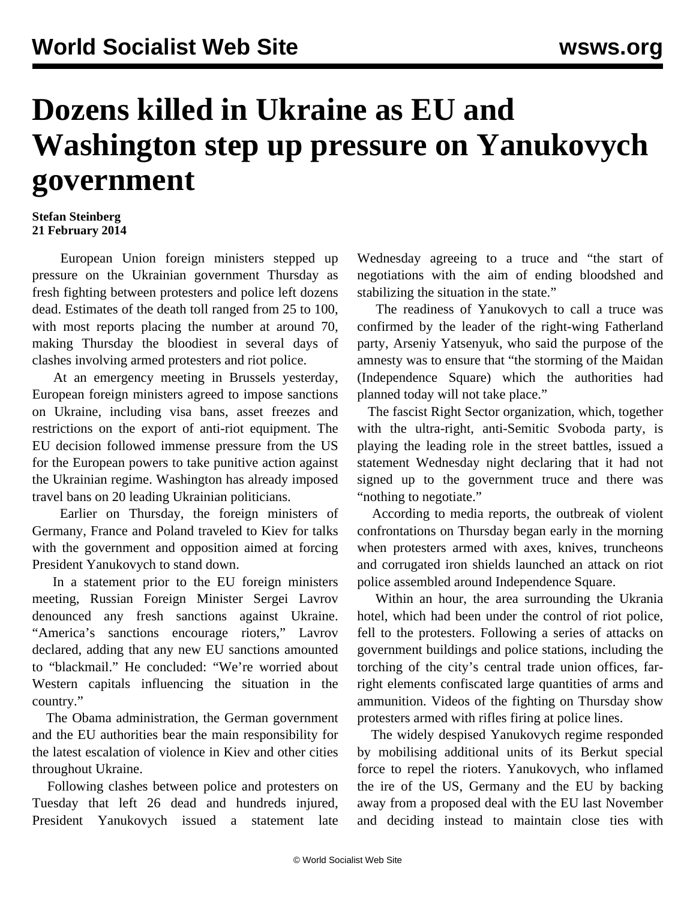## **Dozens killed in Ukraine as EU and Washington step up pressure on Yanukovych government**

## **Stefan Steinberg 21 February 2014**

 European Union foreign ministers stepped up pressure on the Ukrainian government Thursday as fresh fighting between protesters and police left dozens dead. Estimates of the death toll ranged from 25 to 100, with most reports placing the number at around 70, making Thursday the bloodiest in several days of clashes involving armed protesters and riot police.

 At an emergency meeting in Brussels yesterday, European foreign ministers agreed to impose sanctions on Ukraine, including visa bans, asset freezes and restrictions on the export of anti-riot equipment. The EU decision followed immense pressure from the US for the European powers to take punitive action against the Ukrainian regime. Washington has already imposed travel bans on 20 leading Ukrainian politicians.

 Earlier on Thursday, the foreign ministers of Germany, France and Poland traveled to Kiev for talks with the government and opposition aimed at forcing President Yanukovych to stand down.

 In a statement prior to the EU foreign ministers meeting, Russian Foreign Minister Sergei Lavrov denounced any fresh sanctions against Ukraine. "America's sanctions encourage rioters," Lavrov declared, adding that any new EU sanctions amounted to "blackmail." He concluded: "We're worried about Western capitals influencing the situation in the country."

 The Obama administration, the German government and the EU authorities bear the main responsibility for the latest escalation of violence in Kiev and other cities throughout Ukraine.

 Following clashes between police and protesters on Tuesday that left 26 dead and hundreds injured, President Yanukovych issued a statement late Wednesday agreeing to a truce and "the start of negotiations with the aim of ending bloodshed and stabilizing the situation in the state."

 The readiness of Yanukovych to call a truce was confirmed by the leader of the right-wing Fatherland party, Arseniy Yatsenyuk, who said the purpose of the amnesty was to ensure that "the storming of the Maidan (Independence Square) which the authorities had planned today will not take place."

 The fascist Right Sector organization, which, together with the ultra-right, anti-Semitic Svoboda party, is playing the leading role in the street battles, issued a statement Wednesday night declaring that it had not signed up to the government truce and there was "nothing to negotiate."

 According to media reports, the outbreak of violent confrontations on Thursday began early in the morning when protesters armed with axes, knives, truncheons and corrugated iron shields launched an attack on riot police assembled around Independence Square.

 Within an hour, the area surrounding the Ukrania hotel, which had been under the control of riot police, fell to the protesters. Following a series of attacks on government buildings and police stations, including the torching of the city's central trade union offices, farright elements confiscated large quantities of arms and ammunition. Videos of the fighting on Thursday show protesters armed with rifles firing at police lines.

 The widely despised Yanukovych regime responded by mobilising additional units of its Berkut special force to repel the rioters. Yanukovych, who inflamed the ire of the US, Germany and the EU by backing away from a proposed deal with the EU last November and deciding instead to maintain close ties with